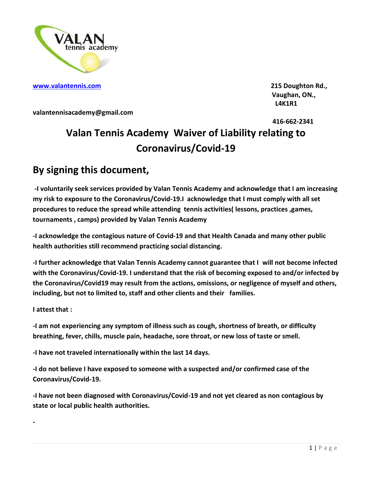

**[www.valantennis.com](http://www.valantennis.com/) 215 Doughton Rd.,**

 **Vaughan, ON., L4K1R1**

**valantennisacademy@gmail.com**

 **416-662-2341** 

## **Valan Tennis Academy Waiver of Liability relating to Coronavirus/Covid-19**

## **By signing this document,**

**-I voluntarily seek services provided by Valan Tennis Academy and acknowledge that I am increasing my risk to exposure to the Coronavirus/Covid-19.I acknowledge that I must comply with all set procedures to reduce the spread while attending tennis activities( lessons, practices ,games, tournaments , camps) provided by Valan Tennis Academy**

**-I acknowledge the contagious nature of Covid-19 and that Health Canada and many other public health authorities still recommend practicing social distancing.**

**-I further acknowledge that Valan Tennis Academy cannot guarantee that I will not become infected with the Coronavirus/Covid-19. I understand that the risk of becoming exposed to and/or infected by the Coronavirus/Covid19 may result from the actions, omissions, or negligence of myself and others, including, but not to limited to, staff and other clients and their families.**

**I attest that :**

**-** 

**-I am not experiencing any symptom of illness such as cough, shortness of breath, or difficulty breathing, fever, chills, muscle pain, headache, sore throat, or new loss of taste or smell.**

**-I have not traveled internationally within the last 14 days.**

**-I do not believe I have exposed to someone with a suspected and/or confirmed case of the Coronavirus/Covid-19.**

**-I have not been diagnosed with Coronavirus/Covid-19 and not yet cleared as non contagious by state or local public health authorities.**